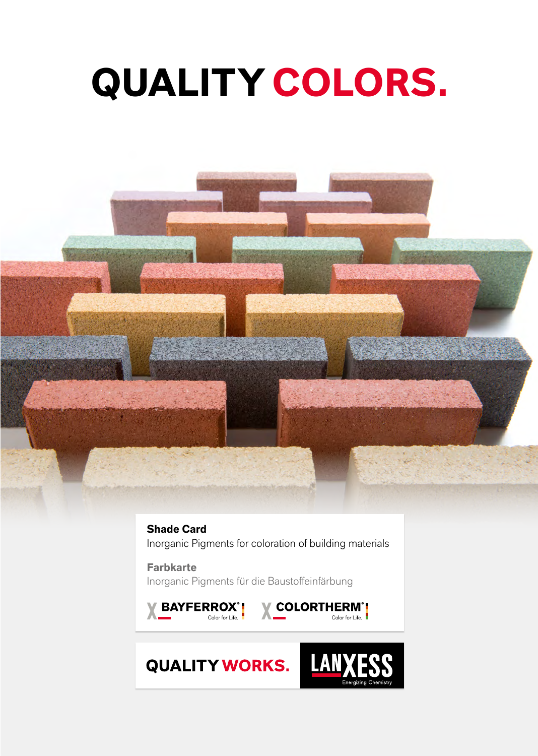# **QUALITY COLORS.**



**Shade Card** Inorganic Pigments for coloration of building materials

**Farbkarte**  Inorganic Pigments für die Baustoffeinfärbung



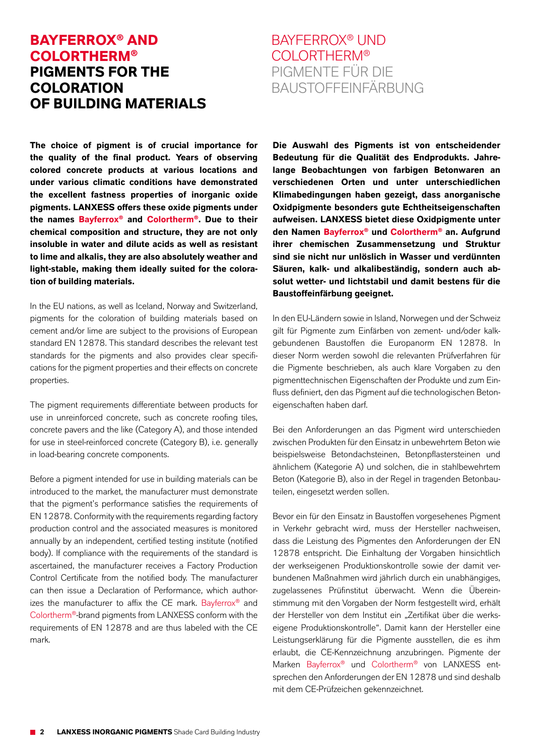#### **BAYFERROX® AND COLORTHERM® PIGMENTS FOR THE COLORATION**  *OF BUILDING MATERIALS*

### BAYFERROX® UND COLORTHERM® PIGMENTE FÜR DIE BAUSTOFFEINFÄRBUNG

**The choice of pigment is of crucial importance for the quality of the final product. Years of observing colored concrete products at various locations and under various climatic conditions have demonstrated the excellent fastness properties of inorganic oxide pigments. LANXESS offers these oxide pigments under the names Bayferrox® and Colortherm®. Due to their chemical composition and structure, they are not only insoluble in water and dilute acids as well as resistant to lime and alkalis, they are also absolutely weather and light-stable, making them ideally suited for the coloration of building materials.**

In the EU nations, as well as Iceland, Norway and Switzerland, pigments for the coloration of building materials based on cement and/or lime are subject to the provisions of European standard EN 12878. This standard describes the relevant test standards for the pigments and also provides clear specifications for the pigment properties and their effects on concrete properties.

The pigment requirements differentiate between products for use in unreinforced concrete, such as concrete roofing tiles, concrete pavers and the like (Category A), and those intended for use in steel-reinforced concrete (Category B), i.e. generally in load-bearing concrete components.

Before a pigment intended for use in building materials can be introduced to the market, the manufacturer must demonstrate that the pigment's performance satisfies the requirements of EN 12878. Conformity with the requirements regarding factory production control and the associated measures is monitored annually by an independent, certified testing institute (notified body). If compliance with the requirements of the standard is ascertained, the manufacturer receives a Factory Production Control Certificate from the notified body. The manufacturer can then issue a Declaration of Performance, which authorizes the manufacturer to affix the CE mark. Bayferrox® and Colortherm®-brand pigments from LANXESS conform with the requirements of EN 12878 and are thus labeled with the CE mark.

**Die Auswahl des Pigments ist von entscheidender Bedeutung für die Qualität des Endprodukts. Jahrelange Beobachtungen von farbigen Betonwaren an verschiedenen Orten und unter unterschiedlichen Klimabedingungen haben gezeigt, dass anorganische Oxidpigmente besonders gute Echtheitseigenschaften aufweisen. LANXESS bietet diese Oxidpigmente unter den Namen Bayferrox® und Colortherm® an. Aufgrund ihrer chemischen Zusammensetzung und Struktur sind sie nicht nur unlöslich in Wasser und verdünnten Säuren, kalk- und alkalibeständig, sondern auch absolut wetter- und lichtstabil und damit bestens für die Baustoffeinfärbung geeignet.**

In den EU-Ländern sowie in lsland, Norwegen und der Schweiz gilt für Pigmente zum Einfärben von zement- und/oder kalkgebundenen Baustoffen die Europanorm EN 12878. In dieser Norm werden sowohl die relevanten Prüfverfahren für die Pigmente beschrieben, als auch klare Vorgaben zu den pigmenttechnischen Eigenschaften der Produkte und zum Einfluss definiert, den das Pigment auf die technologischen Betoneigenschaften haben darf.

Bei den Anforderungen an das Pigment wird unterschieden zwischen Produkten für den Einsatz in unbewehrtem Beton wie beispielsweise Betondachsteinen, Betonpflastersteinen und ähnlichem (Kategorie A) und solchen, die in stahlbewehrtem Beton (Kategorie B), also in der Regel in tragenden Betonbauteilen, eingesetzt werden sollen.

Bevor ein für den Einsatz in Baustoffen vorgesehenes Pigment in Verkehr gebracht wird, muss der Hersteller nachweisen, dass die Leistung des Pigmentes den Anforderungen der EN 12878 entspricht. Die Einhaltung der Vorgaben hinsichtlich der werkseigenen Produktionskontrolle sowie der damit verbundenen Maßnahmen wird jährlich durch ein unabhängiges, zugelassenes Prüfinstitut überwacht. Wenn die Übereinstimmung mit den Vorgaben der Norm festgestellt wird, erhält der Hersteller von dem Institut ein "Zertifikat über die werkseigene Produktionskontrolle". Damit kann der Hersteller eine Leistungserklärung für die Pigmente ausstellen, die es ihm erlaubt, die CE-Kennzeichnung anzubringen. Pigmente der Marken Bayferrox® und Colortherm® von LANXESS entsprechen den Anforderungen der EN 12878 und sind deshalb mit dem CE-Prüfzeichen gekennzeichnet.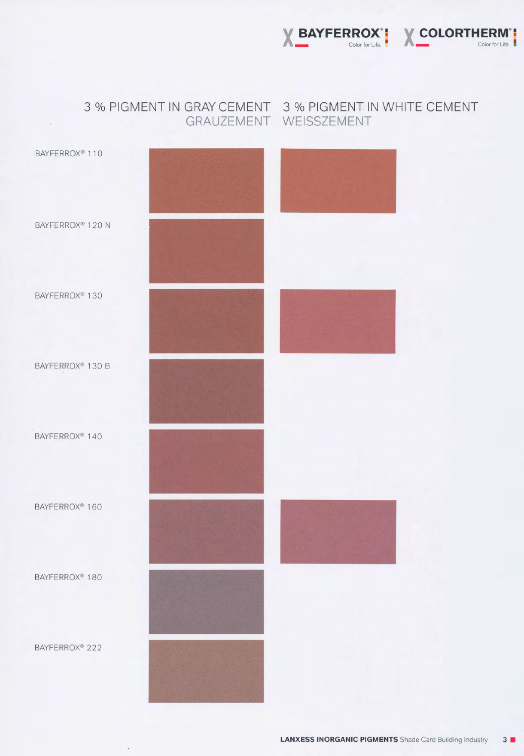LANXESS INORGANIC PIGMENTS Shade Card Building Industry 3 **II** 

BAYFERROX@ 222

BAYFERROX<sup>®</sup> 160

BAYFERROX<sup>®</sup> 110

3 % PIGMENT IN GRAY CEMENT 3 % PIGMENT IN WHITE CEMENT GRAUZEMENT WEISSZEMENT



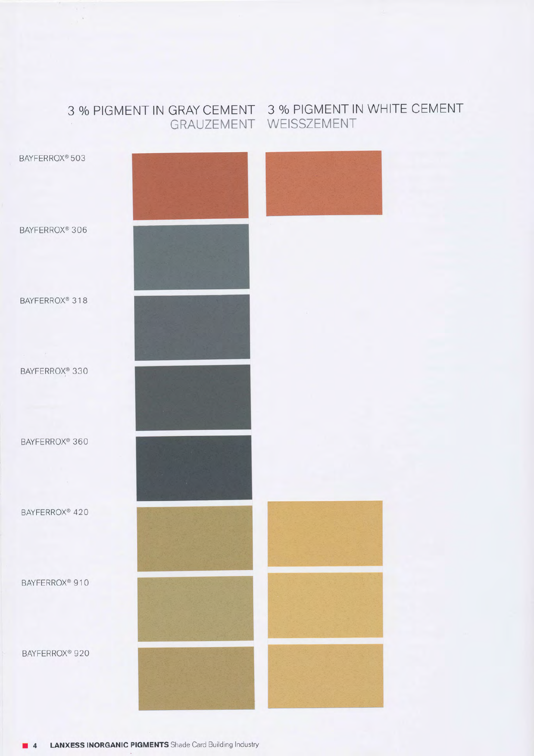#### 3 o/o PIGMENT IN GRAY CEMENT 3 o/o PIGMENT lN WHITE CEMENT GRAUZEMENT WEISSZEMENT



LANXESS INORGANIC PIGMENTS Shade Card Building Industry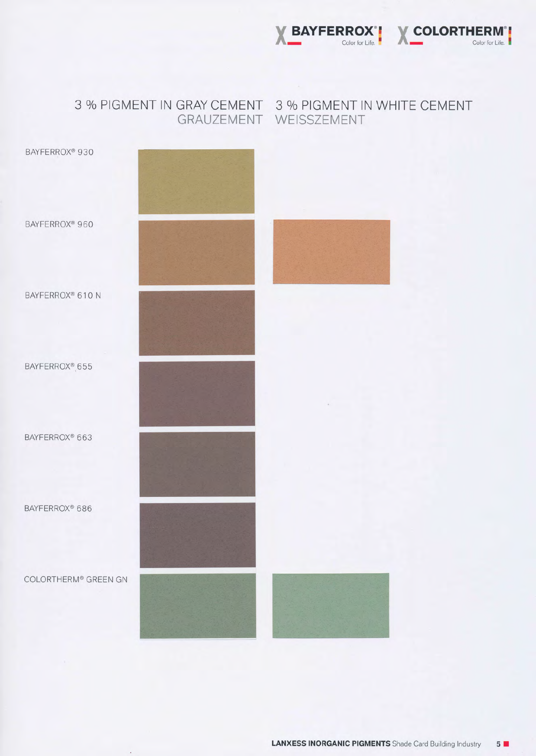

#### 3 % PIGMENT IN GRAY CEMENT 3 % PIGMENT IN WHITE CEMENT GRAUZEMENT WEISSZEMENT

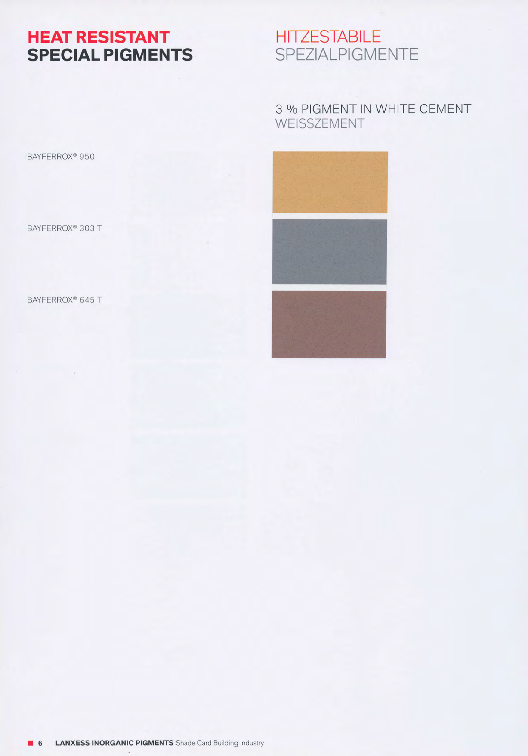HEAT RESISTANT **SPECIAL PIGMENTS** 

## **HITZESTABILE** SPEZIALPIGMENTE

#### 3 % PIGMENT IN WHITE CEMENT WEISSZEMENT

BAYFERROX<sup>®</sup> 950

BAYFERROX<sup>®</sup> 303 T

BAYFERROX<sup>®</sup> 645 T

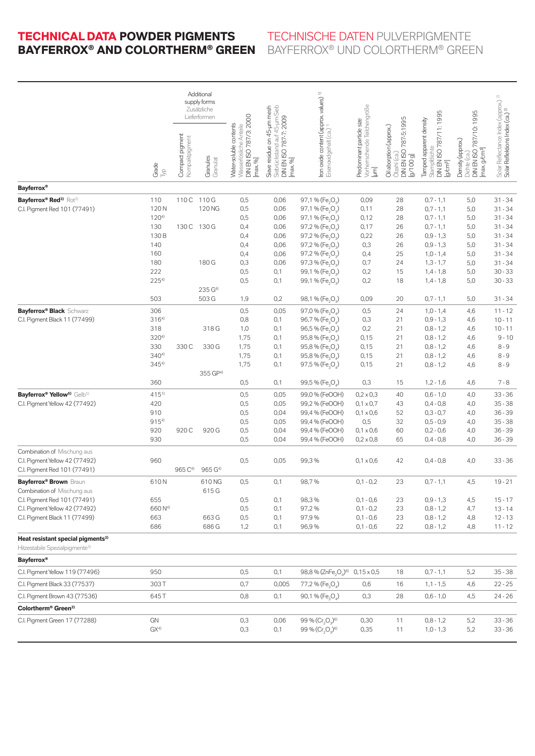#### TECHNICAL DATA POWDER PIGMENTS **TECHNISCHE DATEN PULV Bayferrox® and Colortherm® Green** Bayferrox® und Colortherm ® Green

|                                                                                                                                                                            |                                                               | Additional<br>supply forms<br>Zusätzliche<br>Lieferformen |                              |                                                                                         |                                                              |                                                                                                                                                                                                                                                                                                                                                              |                                                                                                        |                                                                               |                                                                                                                      |                                                                                                   |                                                                                                       |
|----------------------------------------------------------------------------------------------------------------------------------------------------------------------------|---------------------------------------------------------------|-----------------------------------------------------------|------------------------------|-----------------------------------------------------------------------------------------|--------------------------------------------------------------|--------------------------------------------------------------------------------------------------------------------------------------------------------------------------------------------------------------------------------------------------------------------------------------------------------------------------------------------------------------|--------------------------------------------------------------------------------------------------------|-------------------------------------------------------------------------------|----------------------------------------------------------------------------------------------------------------------|---------------------------------------------------------------------------------------------------|-------------------------------------------------------------------------------------------------------|
|                                                                                                                                                                            | Grade<br>B                                                    | Compact pigment<br>Kompaktpigment                         | Granules<br>Granulat         | DIN EN ISO 787/3: 2000<br>Water-soluble contents<br>Wasserlösliche Anteile<br>F<br>max. | Sieve residue on 45-um mesh<br>[max. 96]                     | Iron oxide content (approx values) <sup>1)</sup><br>Eisenoxidgehalt (ca.)                                                                                                                                                                                                                                                                                    | Vorherrschende Teilchengröße<br>Predominant particle size<br>Ţ                                         | DIN EN ISO 787-5:1995<br>Oil aborption (approx.)<br>Ölzahl (ca.)<br>[g/100 g] | DIN EN ISO 787/11:1995<br>Tamped apparent density<br>Stampfdichte<br>[g/cm <sup>3</sup> ]                            | DIN EN ISO 787/10: 1995<br>Density (approx.)<br>[max. <sub>g</sub> /cm <sup>3</sup> ]<br>Dichte ( | Solar Reflectance Index (approx.) <sup>2)</sup><br><b>Solar Reflektions Index (ca.)</b> <sup>2)</sup> |
| <b>Bayferrox</b> <sup>®</sup>                                                                                                                                              |                                                               |                                                           |                              |                                                                                         |                                                              |                                                                                                                                                                                                                                                                                                                                                              |                                                                                                        |                                                                               |                                                                                                                      |                                                                                                   |                                                                                                       |
| Bayferrox® Red <sup>3)</sup> Rot <sup>3)</sup><br>C.I. Pigment Red 101 (77491)                                                                                             | 110<br>120N<br>$120^{4}$<br>130<br>130 B<br>140<br>160<br>180 | 110 C 110 G<br>130 C                                      | 120 NG<br>130 G<br>180 G     | 0,5<br>0,5<br>0,5<br>0,4<br>0,4<br>0,4<br>0,4<br>0,3                                    | 0,06<br>0,06<br>0,06<br>0,06<br>0,06<br>0,06<br>0,06<br>0,06 | 97,1 % (Fe <sub>2</sub> O <sub>3</sub> )<br>97,1 % (Fe <sub>2</sub> O <sub>3</sub> )<br>97,1 % (Fe <sub>2</sub> O <sub>3</sub> )<br>97,2 % (Fe <sub>2</sub> O <sub>2</sub> )<br>97,2 % (Fe <sub>2</sub> O <sub>2</sub> )<br>97,2 % (Fe <sub>2</sub> O <sub>3</sub> )<br>97,2 % (Fe <sub>2</sub> O <sub>2</sub> )<br>97,3 % (Fe <sub>2</sub> O <sub>2</sub> ) | 0,09<br>0,11<br>0,12<br>0,17<br>0,22<br>0,3<br>0,4<br>0,7                                              | 28<br>28<br>28<br>26<br>26<br>26<br>25<br>24                                  | $0,7 - 1,1$<br>$0.7 - 1.1$<br>$0,7 - 1,1$<br>$0,7 - 1,1$<br>$0,9 - 1,3$<br>$0,9 - 1,3$<br>$1,0 - 1,4$<br>$1,3 - 1,7$ | 5,0<br>5,0<br>5,0<br>5,0<br>5,0<br>5,0<br>5,0<br>5,0                                              | $31 - 34$<br>$31 - 34$<br>$31 - 34$<br>31 - 34<br>$31 - 34$<br>$31 - 34$<br>31 - 34<br>$31 - 34$      |
|                                                                                                                                                                            | 222<br>$225^{4}$<br>503                                       |                                                           | 235 G <sup>4)</sup><br>503 G | 0,5<br>0,5<br>1,9                                                                       | 0,1<br>0,1<br>0,2                                            | 99,1 % (Fe <sub>2</sub> O <sub>3</sub> )<br>99,1 % (Fe <sub>2</sub> O <sub>3</sub> )<br>98,1 % (Fe <sub>2</sub> O <sub>2</sub> )                                                                                                                                                                                                                             | 0,2<br>0,2<br>0,09                                                                                     | 15<br>18<br>20                                                                | $1,4 - 1,8$<br>$1,4 - 1,8$<br>$0.7 - 1.1$                                                                            | 5,0<br>5,0<br>5,0                                                                                 | $30 - 33$<br>$30 - 33$<br>31 - 34                                                                     |
| <b>Bayferrox® Black Schwarz</b><br>C.I. Pigment Black 11 (77499)                                                                                                           | 306<br>$316^{4}$<br>318<br>3204)<br>330<br>$340^{4}$          | 330 C                                                     | 318 G<br>330 G               | 0,5<br>0,8<br>1,0<br>1,75<br>1,75<br>1,75                                               | 0,05<br>0,1<br>0,1<br>0,1<br>0,1<br>0,1                      | 97,0 % (Fe <sub>3</sub> O <sub>4</sub> )<br>96,7% (Fe <sub>3</sub> O <sub>4</sub> )<br>96,5 % (Fe <sub>3</sub> O <sub>4</sub> )<br>95,8 % (Fe <sub>3</sub> O <sub>4</sub> )<br>95,8 % (Fe <sub>3</sub> O <sub>4</sub> )<br>95,8 % (Fe <sub>3</sub> O <sub>4</sub> )                                                                                          | 0,5<br>0,3<br>0,2<br>0,15<br>0,15<br>0,15                                                              | 24<br>21<br>21<br>21<br>21<br>21                                              | $1,0 - 1,4$<br>$0.9 - 1.3$<br>$0,8 - 1,2$<br>$0,8 - 1,2$<br>$0,8 - 1,2$<br>$0,8 - 1,2$                               | 4,6<br>4,6<br>4,6<br>4,6<br>4,6<br>4,6                                                            | $11 - 12$<br>$10 - 11$<br>$10 - 11$<br>$9 - 10$<br>$8 - 9$<br>$8 - 9$                                 |
|                                                                                                                                                                            | 3454)<br>360                                                  |                                                           | 355 GP <sup>4)</sup>         | 1,75<br>0,5                                                                             | 0,1<br>0,1                                                   | 97,5 % (Fe <sub>3</sub> O <sub>4</sub> )<br>99,5 % (Fe <sub>2</sub> O <sub>2</sub> )                                                                                                                                                                                                                                                                         | 0,15<br>0,3                                                                                            | 21<br>15                                                                      | $0,8 - 1,2$<br>$1,2 - 1,6$                                                                                           | 4,6<br>4,6                                                                                        | $8 - 9$<br>$7 - 8$                                                                                    |
| Bayferrox® Yellow <sup>5)</sup> Gelb <sup>5)</sup><br>C.I. Pigment Yellow 42 (77492)                                                                                       | 415 <sup>1)</sup><br>420<br>910<br>9154<br>920<br>930         | 920 C                                                     | 920 G                        | 0,5<br>0,5<br>0,5<br>0,5<br>0,5<br>0,5                                                  | 0,05<br>0,05<br>0,04<br>0,05<br>0,04<br>0,04                 | 99,0 % (FeOOH)<br>99,2 % (FeOOH)<br>99,4 % (FeOOH)<br>99,4 % (FeOOH)<br>99,4 % (FeOOH)<br>99,4 % (FeOOH)                                                                                                                                                                                                                                                     | $0,2 \times 0,3$<br>$0,1 \times 0,7$<br>$0,1 \times 0,6$<br>0,5<br>$0,1 \times 0,6$<br>$0,2\times 0,8$ | 40<br>43<br>52<br>32<br>60<br>65                                              | $0,6 - 1,0$<br>$0,4 - 0,8$<br>$0,3 - 0,7$<br>$0,5 - 0,9$<br>$0,2 - 0,6$<br>$0.4 - 0.8$                               | 4,0<br>4,0<br>4,0<br>4,0<br>4,0<br>4,0                                                            | $33 - 36$<br>$35 - 38$<br>$36 - 39$<br>$35 - 38$<br>$36 - 39$<br>$36 - 39$                            |
| Combination of Mischung aus<br>C.I. Pigment Yellow 42 (77492)<br>C.I. Pigment Red 101 (77491)                                                                              | 960                                                           | 965 C <sup>4)</sup>                                       | 965 G <sup>4)</sup>          | 0,5                                                                                     | 0,05                                                         | 99,3%                                                                                                                                                                                                                                                                                                                                                        | $0,1 \times 0,6$                                                                                       | 42                                                                            | $0,4 - 0,8$                                                                                                          | 4,0                                                                                               | $33 - 36$                                                                                             |
| <b>Bayferrox<sup>®</sup> Brown Braun</b><br>Combination of Mischung aus<br>C.I. Pigment Red 101 (77491)<br>C.I. Pigment Yellow 42 (77492)<br>C.I. Pigment Black 11 (77499) | 610N<br>655<br>660 N <sup>4)</sup><br>663                     |                                                           | 610 NG<br>615 G<br>663 G     | 0,5<br>0,5<br>0,5<br>0,5                                                                | 0,1<br>0,1<br>0,1<br>0,1                                     | 98,7%<br>98,3%<br>97,2%<br>97,9%                                                                                                                                                                                                                                                                                                                             | $0,1 - 0,2$<br>$0,1 - 0,6$<br>$0,1 - 0,2$<br>$0,1 - 0,6$                                               | 23<br>23<br>23<br>23                                                          | $0,7 - 1,1$<br>$0,9 - 1,3$<br>$0,8 - 1,2$<br>$0,8 - 1,2$                                                             | 4,5<br>4,5<br>4,7<br>4,8                                                                          | $19 - 21$<br>$15 - 17$<br>$13 - 14$<br>$12 - 13$                                                      |
| Heat resistant special pigments <sup>3)</sup>                                                                                                                              | 686                                                           |                                                           | 686 G                        | 1,2                                                                                     | 0,1                                                          | 96,9%                                                                                                                                                                                                                                                                                                                                                        | $0,1 - 0,6$                                                                                            | 22                                                                            | $0,8 - 1,2$                                                                                                          | 4,8                                                                                               | $11 - 12$                                                                                             |
| Hitzestabile Spezialpigmente <sup>3)</sup>                                                                                                                                 |                                                               |                                                           |                              |                                                                                         |                                                              |                                                                                                                                                                                                                                                                                                                                                              |                                                                                                        |                                                                               |                                                                                                                      |                                                                                                   |                                                                                                       |
| <b>Bayferrox®</b>                                                                                                                                                          |                                                               |                                                           |                              |                                                                                         |                                                              |                                                                                                                                                                                                                                                                                                                                                              |                                                                                                        |                                                                               |                                                                                                                      |                                                                                                   |                                                                                                       |
| C.I. Pigment Yellow 119 (77496)                                                                                                                                            | 950                                                           |                                                           |                              | 0,5                                                                                     | 0,1                                                          | 98,8 % (ZnFe, O, ) <sup>6)</sup> 0,15 x 0,5                                                                                                                                                                                                                                                                                                                  |                                                                                                        | 18                                                                            | $0,7 - 1,1$                                                                                                          | 5,2                                                                                               | $35 - 38$                                                                                             |
| C.I. Pigment Black 33 (77537)                                                                                                                                              | 303T                                                          |                                                           |                              | 0,7                                                                                     | 0,005                                                        | 77,2 % (Fe <sub>3</sub> O <sub>4</sub> )                                                                                                                                                                                                                                                                                                                     | 0,6                                                                                                    | 16                                                                            | $1,1 - 1,5$                                                                                                          | 4,6                                                                                               | $22 - 25$                                                                                             |
| C.I. Pigment Brown 43 (77536)                                                                                                                                              | 645 T                                                         |                                                           |                              | 0,8                                                                                     | 0,1                                                          | $90,1%$ (Fe <sub>2</sub> O <sub>4</sub> )                                                                                                                                                                                                                                                                                                                    | 0,3                                                                                                    | 28                                                                            | $0,6 - 1,0$                                                                                                          | 4,5                                                                                               | $24 - 26$                                                                                             |
| Colortherm <sup>®</sup> Green <sup>3)</sup>                                                                                                                                |                                                               |                                                           |                              |                                                                                         |                                                              |                                                                                                                                                                                                                                                                                                                                                              |                                                                                                        |                                                                               |                                                                                                                      |                                                                                                   |                                                                                                       |
| C.I. Pigment Green 17 (77288)                                                                                                                                              | GN<br>$GX^{4)}$                                               |                                                           |                              | 0,3<br>0,3                                                                              | 0,06<br>0,1                                                  | 99 % $(Cr, O2)$ <sup>6)</sup><br>99 % $(Cr, O2)$ <sup>6)</sup>                                                                                                                                                                                                                                                                                               | 0,30<br>0,35                                                                                           | 11<br>11                                                                      | $0,8 - 1,2$<br>$1,0 - 1,3$                                                                                           | 5,2<br>5,2                                                                                        | $33 - 36$<br>$33 - 36$                                                                                |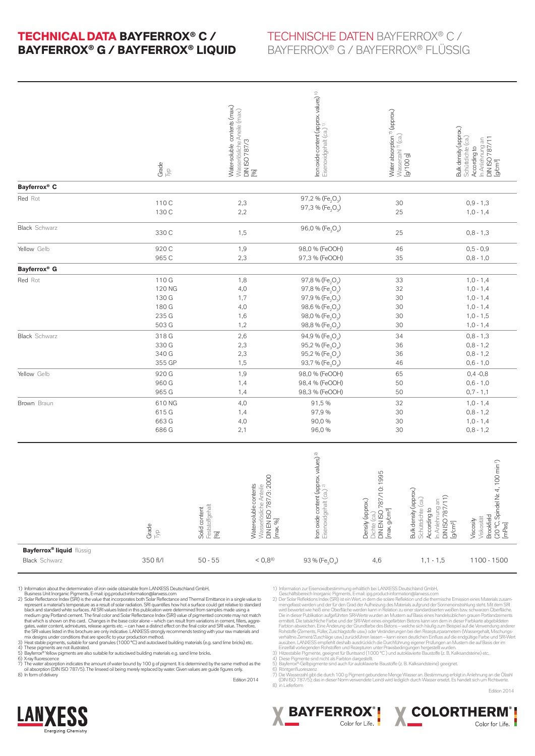#### **Technical Data Bayferrox® C / Bayferrox® G / Bayferrox® LIQUID**

#### Technische Daten Bayferrox® C / Bayferrox® G / Bayferrox® flüssig

|                                                          | Grade<br>$\frac{d}{dx}$                             |                                          | Water-soluble contents (max.)<br>  Wasserlösliche Aneile (max.)<br>  DIN ISO 787/3<br>  [96] | Iron oxide content (approx values) <sup>1)</sup><br>Eisenoxidgehalt (ca.) <sup>1)</sup>                                                                                                                                   | Water absorption <sup>7)</sup> (approx.)<br>Wasserzahl <sup>79</sup> (ca.)<br>[g/100 g] |                                                                                                                             | Bulk density (approx.)<br>Schüttdichte (ca.)<br>According to<br>In Anlehnung an<br>DIN ISO 787/11<br>[g/cm <sup>a</sup> ] |
|----------------------------------------------------------|-----------------------------------------------------|------------------------------------------|----------------------------------------------------------------------------------------------|---------------------------------------------------------------------------------------------------------------------------------------------------------------------------------------------------------------------------|-----------------------------------------------------------------------------------------|-----------------------------------------------------------------------------------------------------------------------------|---------------------------------------------------------------------------------------------------------------------------|
| Bayferrox® C                                             |                                                     |                                          |                                                                                              |                                                                                                                                                                                                                           |                                                                                         |                                                                                                                             |                                                                                                                           |
| Red Rot                                                  | 110 C<br>130 C                                      |                                          | 2,3<br>2,2                                                                                   | 97,2 % (Fe <sub>2</sub> O <sub>3</sub> )<br>97,3 % (Fe <sub>2</sub> O <sub>3</sub> )                                                                                                                                      | 30<br>25                                                                                |                                                                                                                             | $0,9 - 1,3$<br>$1,0 - 1,4$                                                                                                |
| <b>Black</b> Schwarz                                     | 330 C                                               |                                          | 1,5                                                                                          | 96,0 % (Fe <sub>3</sub> O <sub>4</sub> )                                                                                                                                                                                  | 25                                                                                      |                                                                                                                             | $0,8 - 1,3$                                                                                                               |
| Yellow Gelb                                              | 920 C<br>965 C                                      |                                          | 1,9<br>2,3                                                                                   | 98,0 % (FeOOH)<br>97,3 % (FeOOH)                                                                                                                                                                                          | 46<br>35                                                                                |                                                                                                                             | $0,5 - 0,9$<br>$0,8 - 1,0$                                                                                                |
| Bayferrox® G                                             |                                                     |                                          |                                                                                              |                                                                                                                                                                                                                           |                                                                                         |                                                                                                                             |                                                                                                                           |
| Red Rot                                                  | 110 G<br>120 NG<br>130 G<br>180 G<br>235 G<br>503 G |                                          | 1,8<br>4,0<br>1,7<br>4,0<br>1,6<br>1,2                                                       | $97,8%$ (Fe <sub>2</sub> O <sub>2</sub> )<br>97,8 % (Fe <sub>2</sub> O <sub>3</sub> )<br>97,9 % (Fe <sub>2</sub> O <sub>3</sub> )<br>98,6 % (Fe <sub>2</sub> O <sub>3</sub> )<br>98,0 % (Fe <sub>2</sub> O <sub>2</sub> ) | 33<br>32<br>30<br>30<br>30<br>30                                                        |                                                                                                                             | $1,0 - 1,4$<br>$1,0 - 1,4$<br>$1,0 - 1,4$<br>$1,0 - 1,4$<br>$1,0 - 1,5$                                                   |
| <b>Black</b> Schwarz                                     | 318 G<br>330 G<br>340 G<br>355 GP                   |                                          | 2,6<br>2,3<br>2,3<br>1,5                                                                     | 98,8 % (Fe <sub>2</sub> O <sub>3</sub> )<br>94,9 % (Fe <sub>3</sub> O <sub>4</sub> )<br>95,2 % (Fe <sub>3</sub> O <sub>4</sub> )<br>95,2 % (Fe <sub>3</sub> O <sub>4</sub> )<br>93,7% (Fe <sub>3</sub> O <sub>4</sub> )   | 34<br>36<br>36<br>46                                                                    |                                                                                                                             | $1,0 - 1,4$<br>$0,8 - 1,3$<br>$0,8 - 1,2$<br>$0,8 - 1,2$<br>$0,6 - 1,0$                                                   |
| Yellow Gelb                                              | 920 G<br>960 G<br>965 G                             |                                          | 1,9<br>1,4<br>1,4                                                                            | 98,0 % (FeOOH)<br>98,4 % (FeOOH)<br>98,3 % (FeOOH)                                                                                                                                                                        | 65<br>50<br>50                                                                          |                                                                                                                             | $0,4 -0,8$<br>$0,6 - 1,0$<br>$0,7 - 1,1$                                                                                  |
| Brown Braun                                              | 610 NG<br>615 G<br>663 G<br>686 G                   |                                          | 4,0<br>1,4<br>4,0<br>2,1                                                                     | 91,5%<br>97,9%<br>90,0%<br>96,0%                                                                                                                                                                                          | 32<br>30<br>30<br>30                                                                    |                                                                                                                             | $1,0 - 1,4$<br>$0,8 - 1,2$<br>$1,0 - 1,4$<br>$0,8 - 1,2$                                                                  |
|                                                          | Grade<br>$\mathbb{R}$                               | Feststoffgehalt<br>[96]<br>Solid content | 2000<br>Water-soluble contents<br>Wasserlösliche Anteile<br>DIN EN ISO 787/3:<br>[max. 96]   | Iron oxide content (approx values) <sup>2)</sup><br>Eisenoxidgehalt (ca.)                                                                                                                                                 | Dichte (ca.)<br>DIN EN ISO 787/10: 1995<br>Density (approx.)<br>$[max. g/cm^3]$         | Bulk density (approx.)<br>In Anlehnŭing an<br>DIN ISO 787/11)<br>[g/cm <sup>3</sup> ]<br>Schüttdichte (ca.)<br>According to | (20 °C, Spindel Nr. 4, 100 min <sup>.1)</sup><br>[mPas]<br><b>Brookfield</b><br>Viskosität<br>Viscosity                   |
| <b>Bayferrox® liquid flüssig</b><br><b>Black</b> Schwarz | 350 fl/l                                            | $50 - 55$                                | < 0.88                                                                                       | 93 % (Fe <sub>3</sub> O <sub>4</sub> )                                                                                                                                                                                    | 4,6                                                                                     | $1,1 - 1,5$                                                                                                                 | 1100 - 1500                                                                                                               |

1) Information about the determination of rion oxide obtainable from LANKESS Deutschland GmbH,<br>Incomess Unit Intorganic Pigments, E-mail: ipg.product-information@lanxess.com<br>2) Solar Reflectance Index (SRI) is the value th

7) The water absorption indicates the amount of water bound by 100 g of pigment. It is determined by the same method as the<br>oil absorption (DIN ISO 787/5). The linseed oil being merely replaced by water. Given values are g

Edition 2014

1) Information zur Eisenoxidbestimmung erhältlich bei LANXESS Deutschland GmbH,<br>
Geschäftsbereich Inorganic Pigments, E-mail: ipg.product-information@lanxes.com<br>
2) Der Sidar Reflektions Index (SRI) ist ein Wert, in dem di

**X BAYFERROX** 

7) Die Wasserzahl gibt die durch 100 g Pigment gebundene Menge Wasser an. Bestimmung erfolgt in Anlehnung an die Ölzahl<br>— (DIN 150 787/5); das in dieser Norm verwendete Leinöl wird lediglich durch Wasser ersetzt. Es handel



**X COLORTHERM<sup>®</sup>** Color for Life.

Edition 2014